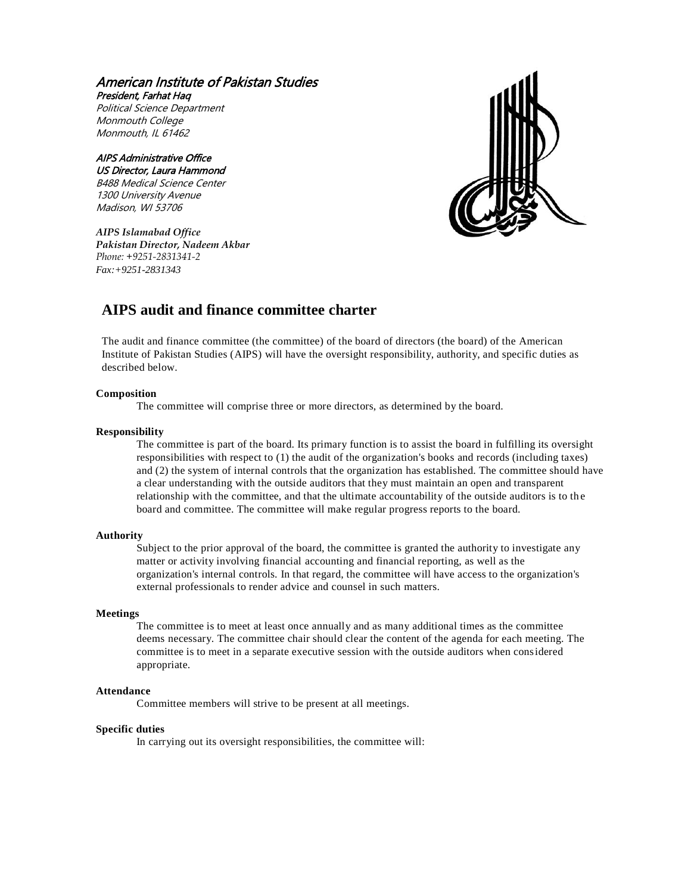## American Institute of Pakistan Studies President, Farhat Haq

Political Science Department Monmouth College Monmouth, IL 61462

#### AIPS Administrative Office US Director, Laura Hammond B488 Medical Science Center 1300 University Avenue Madison, WI 53706

*AIPS Islamabad Office Pakistan Director, Nadeem Akbar Phone: +9251-2831341-2 Fax:+9251-2831343*



# **AIPS audit and finance committee charter**

The audit and finance committee (the committee) of the board of directors (the board) of the American Institute of Pakistan Studies (AIPS) will have the oversight responsibility, authority, and specific duties as described below.

## **Composition**

The committee will comprise three or more directors, as determined by the board.

## **Responsibility**

The committee is part of the board. Its primary function is to assist the board in fulfilling its oversight responsibilities with respect to (1) the audit of the organization's books and records (including taxes) and (2) the system of internal controls that the organization has established. The committee should have a clear understanding with the outside auditors that they must maintain an open and transparent relationship with the committee, and that the ultimate accountability of the outside auditors is to th e board and committee. The committee will make regular progress reports to the board.

## **Authority**

Subject to the prior approval of the board, the committee is granted the authority to investigate any matter or activity involving financial accounting and financial reporting, as well as the organization's internal controls. In that regard, the committee will have access to the organization's external professionals to render advice and counsel in such matters.

## **Meetings**

The committee is to meet at least once annually and as many additional times as the committee deems necessary. The committee chair should clear the content of the agenda for each meeting. The committee is to meet in a separate executive session with the outside auditors when considered appropriate.

## **Attendance**

Committee members will strive to be present at all meetings.

## **Specific duties**

In carrying out its oversight responsibilities, the committee will: